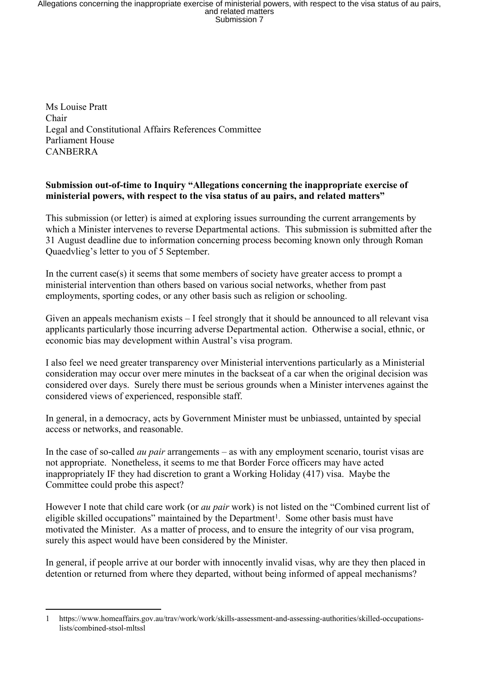Ms Louise Pratt Chair Legal and Constitutional Affairs References Committee Parliament House CANBERRA

## **Submission out-of-time to Inquiry "Allegations concerning the inappropriate exercise of ministerial powers, with respect to the visa status of au pairs, and related matters"**

This submission (or letter) is aimed at exploring issues surrounding the current arrangements by which a Minister intervenes to reverse Departmental actions. This submission is submitted after the 31 August deadline due to information concerning process becoming known only through Roman Quaedvlieg's letter to you of 5 September.

In the current case(s) it seems that some members of society have greater access to prompt a ministerial intervention than others based on various social networks, whether from past employments, sporting codes, or any other basis such as religion or schooling.

Given an appeals mechanism exists  $-I$  feel strongly that it should be announced to all relevant visa applicants particularly those incurring adverse Departmental action. Otherwise a social, ethnic, or economic bias may development within Austral's visa program.

I also feel we need greater transparency over Ministerial interventions particularly as a Ministerial consideration may occur over mere minutes in the backseat of a car when the original decision was considered over days. Surely there must be serious grounds when a Minister intervenes against the considered views of experienced, responsible staff.

In general, in a democracy, acts by Government Minister must be unbiassed, untainted by special access or networks, and reasonable.

In the case of so-called *au pair* arrangements – as with any employment scenario, tourist visas are not appropriate. Nonetheless, it seems to me that Border Force officers may have acted inappropriately IF they had discretion to grant a Working Holiday (417) visa. Maybe the Committee could probe this aspect?

However I note that child care work (or *au pair* work) is not listed on the "Combined current list of eligible skilled occupations" maintained by the Department<sup>1</sup>. Some other basis must have motivated the Minister. As a matter of process, and to ensure the integrity of our visa program, surely this aspect would have been considered by the Minister.

In general, if people arrive at our border with innocently invalid visas, why are they then placed in detention or returned from where they departed, without being informed of appeal mechanisms?

<sup>1</sup> https://www.homeaffairs.gov.au/trav/work/work/skills-assessment-and-assessing-authorities/skilled-occupationslists/combined-stsol-mltssl